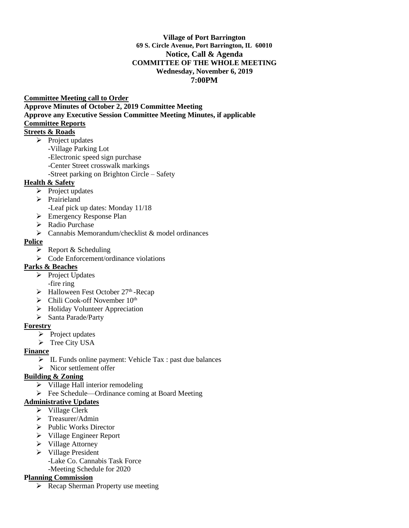#### **Village of Port Barrington 69 S. Circle Avenue, Port Barrington, IL 60010 Notice, Call & Agenda COMMITTEE OF THE WHOLE MEETING Wednesday, November 6, 2019 7:00PM**

#### **Committee Meeting call to Order**

**Approve Minutes of October 2, 2019 Committee Meeting** 

**Approve any Executive Session Committee Meeting Minutes, if applicable** 

## **Committee Reports**

## **Streets & Roads**

- ➢ Project updates
	- -Village Parking Lot
	- -Electronic speed sign purchase
	- -Center Street crosswalk markings
	- -Street parking on Brighton Circle Safety

#### **Health & Safety**

- ➢ Project updates
- ➢ Prairieland
	- -Leaf pick up dates: Monday 11/18
- ➢ Emergency Response Plan
- ➢ Radio Purchase
- ➢ Cannabis Memorandum/checklist & model ordinances

#### **Police**

- $\triangleright$  Report & Scheduling
- ➢ Code Enforcement/ordinance violations

## **Parks & Beaches**

- ➢ Project Updates -fire ring
- ➢ Halloween Fest October 27th -Recap
- $\triangleright$  Chili Cook-off November 10<sup>th</sup>
- ➢ Holiday Volunteer Appreciation
- ➢ Santa Parade/Party

## **Forestry**

- ➢ Project updates
- ➢ Tree City USA

## **Finance**

- ➢ IL Funds online payment: Vehicle Tax : past due balances
- ➢ Nicor settlement offer

## **Building & Zoning**

- ➢ Village Hall interior remodeling
- ➢ Fee Schedule—Ordinance coming at Board Meeting

## **Administrative Updates**

- ➢ Village Clerk
- ➢ Treasurer/Admin
- ➢ Public Works Director
- ➢ Village Engineer Report
- ➢ Village Attorney
- ➢ Village President
	- -Lake Co. Cannabis Task Force -Meeting Schedule for 2020
- 

## **Planning Commission**

➢ Recap Sherman Property use meeting